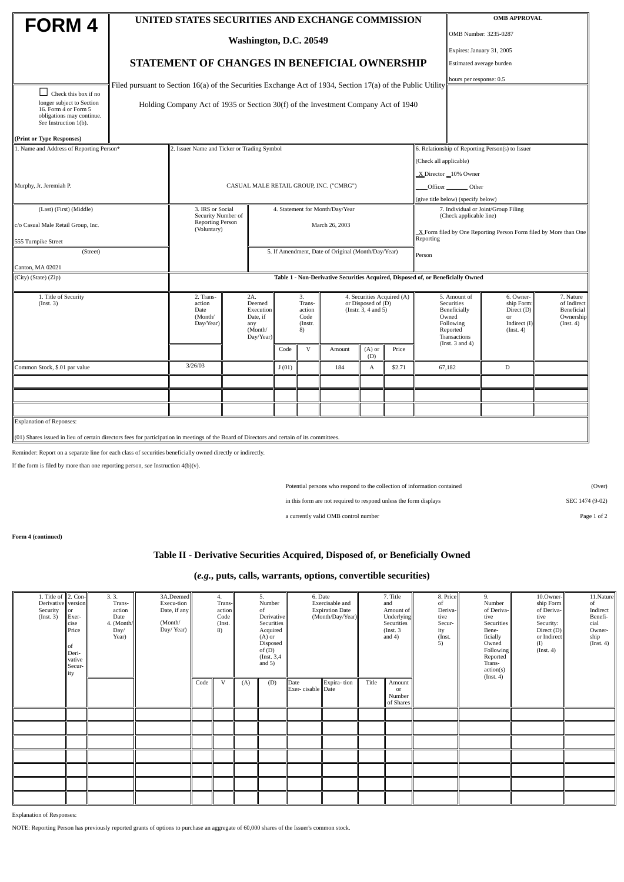|                                                                                                                                             |                                                                                                             | UNITED STATES SECURITIES AND EXCHANGE COMMISSION                                     |                                    |                                 |    | <b>OMB APPROVAL</b>                              |                                                                  |                            |                                       |                                    |                                                                |                           |  |  |  |
|---------------------------------------------------------------------------------------------------------------------------------------------|-------------------------------------------------------------------------------------------------------------|--------------------------------------------------------------------------------------|------------------------------------|---------------------------------|----|--------------------------------------------------|------------------------------------------------------------------|----------------------------|---------------------------------------|------------------------------------|----------------------------------------------------------------|---------------------------|--|--|--|
| FORM 4                                                                                                                                      |                                                                                                             |                                                                                      |                                    |                                 |    |                                                  |                                                                  |                            |                                       |                                    | OMB Number: 3235-0287                                          |                           |  |  |  |
|                                                                                                                                             | Washington, D.C. 20549                                                                                      |                                                                                      |                                    |                                 |    |                                                  |                                                                  |                            |                                       |                                    |                                                                | Expires: January 31, 2005 |  |  |  |
|                                                                                                                                             |                                                                                                             | STATEMENT OF CHANGES IN BENEFICIAL OWNERSHIP                                         |                                    |                                 |    |                                                  |                                                                  |                            |                                       |                                    | Estimated average burden                                       |                           |  |  |  |
|                                                                                                                                             |                                                                                                             |                                                                                      |                                    |                                 |    |                                                  |                                                                  |                            |                                       |                                    |                                                                | hours per response: 0.5   |  |  |  |
| $\Box$ Check this box if no                                                                                                                 | Filed pursuant to Section 16(a) of the Securities Exchange Act of 1934, Section 17(a) of the Public Utility |                                                                                      |                                    |                                 |    |                                                  |                                                                  |                            |                                       |                                    |                                                                |                           |  |  |  |
| longer subject to Section<br>16. Form 4 or Form 5<br>obligations may continue.<br>See Instruction 1(b).                                     |                                                                                                             | Holding Company Act of 1935 or Section 30(f) of the Investment Company Act of 1940   |                                    |                                 |    |                                                  |                                                                  |                            |                                       |                                    |                                                                |                           |  |  |  |
| (Print or Type Responses)                                                                                                                   |                                                                                                             |                                                                                      |                                    |                                 |    |                                                  |                                                                  |                            |                                       |                                    |                                                                |                           |  |  |  |
| 1. Name and Address of Reporting Person*                                                                                                    | 2. Issuer Name and Ticker or Trading Symbol                                                                 |                                                                                      |                                    |                                 |    | 6. Relationship of Reporting Person(s) to Issuer |                                                                  |                            |                                       |                                    |                                                                |                           |  |  |  |
|                                                                                                                                             |                                                                                                             |                                                                                      |                                    |                                 |    |                                                  |                                                                  |                            | (Check all applicable)                |                                    |                                                                |                           |  |  |  |
|                                                                                                                                             |                                                                                                             |                                                                                      |                                    |                                 |    |                                                  |                                                                  |                            |                                       |                                    | X Director 10% Owner                                           |                           |  |  |  |
| Murphy, Jr. Jeremiah P.                                                                                                                     |                                                                                                             |                                                                                      |                                    |                                 |    | CASUAL MALE RETAIL GROUP, INC. ("CMRG")          |                                                                  |                            | Officer ________ Other                |                                    |                                                                |                           |  |  |  |
|                                                                                                                                             |                                                                                                             |                                                                                      |                                    |                                 |    |                                                  |                                                                  |                            |                                       | (give title below) (specify below) |                                                                |                           |  |  |  |
| (Last) (First) (Middle)                                                                                                                     |                                                                                                             | 3. IRS or Social<br>Security Number of                                               |                                    | 4. Statement for Month/Day/Year |    |                                                  |                                                                  |                            |                                       |                                    | 7. Individual or Joint/Group Filing<br>(Check applicable line) |                           |  |  |  |
| c/o Casual Male Retail Group, Inc.                                                                                                          | Reporting Person<br>(Voluntary)                                                                             |                                                                                      | March 26, 2003                     |                                 |    |                                                  | X Form filed by One Reporting Person Form filed by More than One |                            |                                       |                                    |                                                                |                           |  |  |  |
| 555 Turnpike Street                                                                                                                         | Reporting                                                                                                   |                                                                                      |                                    |                                 |    |                                                  |                                                                  |                            |                                       |                                    |                                                                |                           |  |  |  |
| (Street)                                                                                                                                    | 5. If Amendment, Date of Original (Month/Day/Year)<br>Person                                                |                                                                                      |                                    |                                 |    |                                                  |                                                                  |                            |                                       |                                    |                                                                |                           |  |  |  |
| Canton, MA 02021                                                                                                                            |                                                                                                             |                                                                                      |                                    |                                 |    |                                                  |                                                                  |                            |                                       |                                    |                                                                |                           |  |  |  |
| (City) (State) (Zip)                                                                                                                        | Table 1 - Non-Derivative Securities Acquired, Disposed of, or Beneficially Owned                            |                                                                                      |                                    |                                 |    |                                                  |                                                                  |                            |                                       |                                    |                                                                |                           |  |  |  |
| 1. Title of Security                                                                                                                        | 2. Trans-                                                                                                   |                                                                                      | 2A.                                |                                 | 3. |                                                  |                                                                  | 4. Securities Acquired (A) |                                       | 5. Amount of                       | 6. Owner-                                                      | 7. Nature                 |  |  |  |
| (Inst. 3)                                                                                                                                   | action<br>Date                                                                                              | Deemed<br>Trans-<br>or Disposed of (D)<br>(Instr. 3, 4 and 5)<br>Execution<br>action |                                    |                                 |    |                                                  |                                                                  |                            | Securities<br>Beneficially            | ship Form:<br>Direct (D)           | of Indirect<br>Beneficial                                      |                           |  |  |  |
|                                                                                                                                             | (Month/<br>Day/Year)                                                                                        |                                                                                      | Date, if<br>Code<br>(Instr.<br>any |                                 |    |                                                  |                                                                  |                            |                                       | Owned<br>Following                 | or<br>Indirect (I)                                             | Ownership<br>(Inst. 4)    |  |  |  |
|                                                                                                                                             | (Month/<br>Day/Year)                                                                                        |                                                                                      |                                    | 8)                              |    |                                                  |                                                                  |                            | Reported<br>(Inst. 4)<br>Transactions |                                    |                                                                |                           |  |  |  |
|                                                                                                                                             |                                                                                                             |                                                                                      |                                    | Code                            | V  | Amount                                           | $(A)$ or                                                         | Price                      |                                       | (Inst. $3$ and $4$ )               |                                                                |                           |  |  |  |
|                                                                                                                                             |                                                                                                             | 3/26/03                                                                              |                                    |                                 |    |                                                  |                                                                  | (D)                        |                                       |                                    |                                                                |                           |  |  |  |
| Common Stock, \$.01 par value                                                                                                               |                                                                                                             |                                                                                      |                                    | J(01)                           |    | 184                                              | А                                                                | \$2.71                     |                                       | 67,182                             | $\mathbb D$                                                    |                           |  |  |  |
|                                                                                                                                             |                                                                                                             |                                                                                      |                                    |                                 |    |                                                  |                                                                  |                            |                                       |                                    |                                                                |                           |  |  |  |
|                                                                                                                                             |                                                                                                             |                                                                                      |                                    |                                 |    |                                                  |                                                                  |                            |                                       |                                    |                                                                |                           |  |  |  |
|                                                                                                                                             |                                                                                                             |                                                                                      |                                    |                                 |    |                                                  |                                                                  |                            |                                       |                                    |                                                                |                           |  |  |  |
| <b>Explanation of Reponses:</b>                                                                                                             |                                                                                                             |                                                                                      |                                    |                                 |    |                                                  |                                                                  |                            |                                       |                                    |                                                                |                           |  |  |  |
| (01) Shares issued in lieu of certain directors fees for participation in meetings of the Board of Directors and certain of its committees. |                                                                                                             |                                                                                      |                                    |                                 |    |                                                  |                                                                  |                            |                                       |                                    |                                                                |                           |  |  |  |

Reminder: Report on a separate line for each class of securities beneficially owned directly or indirectly.

If the form is filed by more than one reporting person, *see* Instruction 4(b)(v).

Potential persons who respond to the collection of information contained (Over)

in this form are not required to respond unless the form displays SEC 1474 (9-02)

a currently valid OMB control number Page 1 of 2

**Form 4 (continued)**

## **Table II - Derivative Securities Acquired, Disposed of, or Beneficially Owned**

## **(***e.g.***, puts, calls, warrants, options, convertible securities)**

| 1. Title of 2. Con-<br>Derivative version<br>Security<br>(Inst. 3) | $\overline{\text{lor}}$<br>Exer-<br>cise<br>Price<br>lof<br>Deri-<br>vative<br>Secur-<br>ity | 3.3.<br>Trans-<br>action<br>Date<br>4. (Month/<br>Day/<br>Year) | 3A.Deemed<br>Execu-tion<br>Date, if any<br>(Month/<br>Day/Year) | 4.<br>Trans-<br>action<br>Code<br>(Inst.<br>$\left( 8\right)$ |   | 5.<br>Number<br>of<br>Derivative<br>Securities<br>Acquired<br>$(A)$ or<br>Disposed<br>of $(D)$<br>(Inst. 3,4)<br>and $5)$ |     | 6. Date<br>Exercisable and<br><b>Expiration Date</b><br>(Month/Day/Year) |             | 7. Title<br>and<br>Amount of<br>Underlying<br>Securities<br>(Inst. 3)<br>and $4)$ |                                     | 8. Price<br>of<br>Deriva-<br>tive<br>Secur-<br>ity<br>(Inst.<br>5) | 9.<br>Number<br>of Deriva-<br>tive<br><b>Securities</b><br>Bene-<br>ficially<br>Owned<br><b>Following</b><br>Reported<br>Trans-<br>action(s)<br>(Inst. 4) | 10.Owner-<br>ship Form<br>of Deriva-<br>tive<br>Security:<br>Direct (D)<br>or Indirect<br>(I)<br>$($ Inst. 4 $)$ | 11.Nature<br>of<br>Indirect<br>Benefi-<br>cial<br>Owner-<br>ship<br>(Inst. 4) |
|--------------------------------------------------------------------|----------------------------------------------------------------------------------------------|-----------------------------------------------------------------|-----------------------------------------------------------------|---------------------------------------------------------------|---|---------------------------------------------------------------------------------------------------------------------------|-----|--------------------------------------------------------------------------|-------------|-----------------------------------------------------------------------------------|-------------------------------------|--------------------------------------------------------------------|-----------------------------------------------------------------------------------------------------------------------------------------------------------|------------------------------------------------------------------------------------------------------------------|-------------------------------------------------------------------------------|
|                                                                    |                                                                                              |                                                                 |                                                                 | Code                                                          | V | (A)                                                                                                                       | (D) | Date<br>Exer-cisable Date                                                | Expira-tion | Title                                                                             | Amount<br>or<br>Number<br>of Shares |                                                                    |                                                                                                                                                           |                                                                                                                  |                                                                               |
|                                                                    |                                                                                              |                                                                 |                                                                 |                                                               |   |                                                                                                                           |     |                                                                          |             |                                                                                   |                                     |                                                                    |                                                                                                                                                           |                                                                                                                  |                                                                               |
|                                                                    |                                                                                              |                                                                 |                                                                 |                                                               |   |                                                                                                                           |     |                                                                          |             |                                                                                   |                                     |                                                                    |                                                                                                                                                           |                                                                                                                  |                                                                               |
|                                                                    |                                                                                              |                                                                 |                                                                 |                                                               |   |                                                                                                                           |     |                                                                          |             |                                                                                   |                                     |                                                                    |                                                                                                                                                           |                                                                                                                  |                                                                               |
|                                                                    |                                                                                              |                                                                 |                                                                 |                                                               |   |                                                                                                                           |     |                                                                          |             |                                                                                   |                                     |                                                                    |                                                                                                                                                           |                                                                                                                  |                                                                               |
|                                                                    |                                                                                              |                                                                 |                                                                 |                                                               |   |                                                                                                                           |     |                                                                          |             |                                                                                   |                                     |                                                                    |                                                                                                                                                           |                                                                                                                  |                                                                               |
|                                                                    |                                                                                              |                                                                 |                                                                 |                                                               |   |                                                                                                                           |     |                                                                          |             |                                                                                   |                                     |                                                                    |                                                                                                                                                           |                                                                                                                  |                                                                               |
|                                                                    |                                                                                              |                                                                 |                                                                 |                                                               |   |                                                                                                                           |     |                                                                          |             |                                                                                   |                                     |                                                                    |                                                                                                                                                           |                                                                                                                  |                                                                               |

Explanation of Responses:

NOTE: Reporting Person has previously reported grants of options to purchase an aggregate of 60,000 shares of the Issuer's common stock.